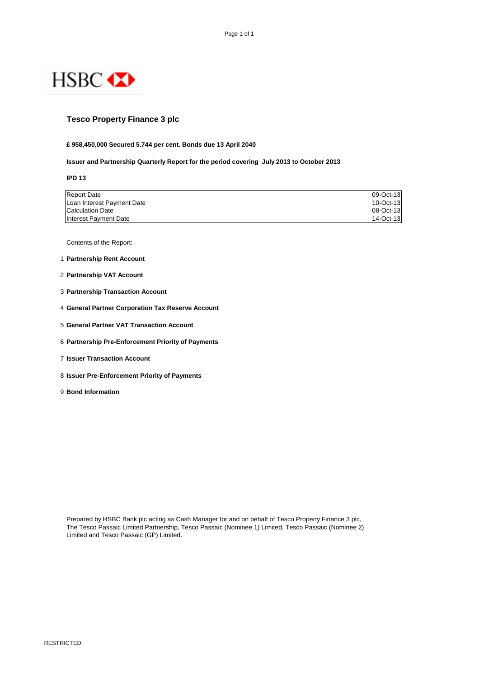

## **Tesco Property Finance 3 plc**

### **£ 958,450,000 Secured 5.744 per cent. Bonds due 13 April 2040**

#### **Issuer and Partnership Quarterly Report for the period covering July 2013 to October 2013**

**IPD 13**

| <b>Report Date</b>         | 09-Oct-13 |
|----------------------------|-----------|
| Loan Interest Payment Date | 10-Oct-13 |
| <b>Calculation Date</b>    | 08-Oct-13 |
| Interest Payment Date      | 14-Oct-13 |

Contents of the Report:

- 1 **Partnership Rent Account**
- 2 **Partnership VAT Account**
- 3 **Partnership Transaction Account**
- 4 **General Partner Corporation Tax Reserve Account**
- 5 **General Partner VAT Transaction Account**
- 6 **Partnership Pre-Enforcement Priority of Payments**
- 7 **Issuer Transaction Account**
- 8 **Issuer Pre-Enforcement Priority of Payments**
- 9 **Bond Information**

Prepared by HSBC Bank plc acting as Cash Manager for and on behalf of Tesco Property Finance 3 plc, The Tesco Passaic Limited Partnership, Tesco Passaic (Nominee 1) Limited, Tesco Passaic (Nominee 2) Limited and Tesco Passaic (GP) Limited.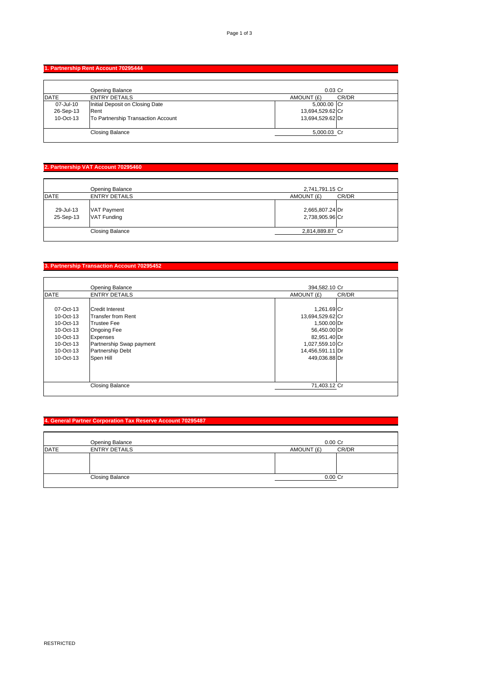## **1. Partnership Rent Account 70295444**

|              | Opening Balance                    | $0.03$ Cr           |
|--------------|------------------------------------|---------------------|
| <b>IDATE</b> | <b>ENTRY DETAILS</b>               | CR/DR<br>AMOUNT (£) |
| 07-Jul-10    | Initial Deposit on Closing Date    | 5,000.00 Cr         |
| 26-Sep-13    | Rent                               | 13,694,529.62 Cr    |
| 10-Oct-13    | To Partnership Transaction Account | 13,694,529.62 Dr    |
|              |                                    |                     |
|              | <b>Closing Balance</b>             | 5,000.03 Cr         |
|              |                                    |                     |

# **2. Partnership VAT Account 70295460**

|                        | Opening Balance                          | 2,741,791.15 Cr                    |
|------------------------|------------------------------------------|------------------------------------|
| <b>DATE</b>            | <b>ENTRY DETAILS</b>                     | AMOUNT (£)<br>CR/DR                |
| 29-Jul-13<br>25-Sep-13 | <b>VAT Payment</b><br><b>VAT Funding</b> | 2,665,807.24 Dr<br>2,738,905.96 Cr |
|                        | <b>Closing Balance</b>                   | 2,814,889.87 Cr                    |

# **3. Partnership Transaction Account 70295452**

|             | <b>Opening Balance</b>   | 394,582.10 Cr    |       |
|-------------|--------------------------|------------------|-------|
| <b>DATE</b> | <b>ENTRY DETAILS</b>     | AMOUNT (£)       | CR/DR |
|             |                          |                  |       |
| 07-Oct-13   | <b>Credit Interest</b>   | 1,261.69 Cr      |       |
| 10-Oct-13   | lTransfer from Rent      | 13,694,529.62 Cr |       |
| 10-Oct-13   | <b>Trustee Fee</b>       | 1,500.00 Dr      |       |
| 10-Oct-13   | <b>Ongoing Fee</b>       | 56,450.00 Dr     |       |
| 10-Oct-13   | Expenses                 | 82,951.40 Dr     |       |
| 10-Oct-13   | Partnership Swap payment | 1,027,559.10 Cr  |       |
| 10-Oct-13   | <b>Partnership Debt</b>  | 14,456,591.11 Dr |       |
| 10-Oct-13   | Spen Hill                | 449,036.88 Dr    |       |
|             |                          |                  |       |
|             |                          |                  |       |
|             |                          |                  |       |
|             | <b>Closing Balance</b>   | 71,403.12 Cr     |       |
|             |                          |                  |       |

## **4. General Partner Corporation Tax Reserve Account 70295487**

|             | <b>Opening Balance</b> | $0.00$ Cr  |       |
|-------------|------------------------|------------|-------|
| <b>DATE</b> | <b>ENTRY DETAILS</b>   | AMOUNT (£) | CR/DR |
|             |                        |            |       |
|             |                        |            |       |
|             |                        |            |       |
|             | <b>Closing Balance</b> | $0.00$ Cr  |       |
|             |                        |            |       |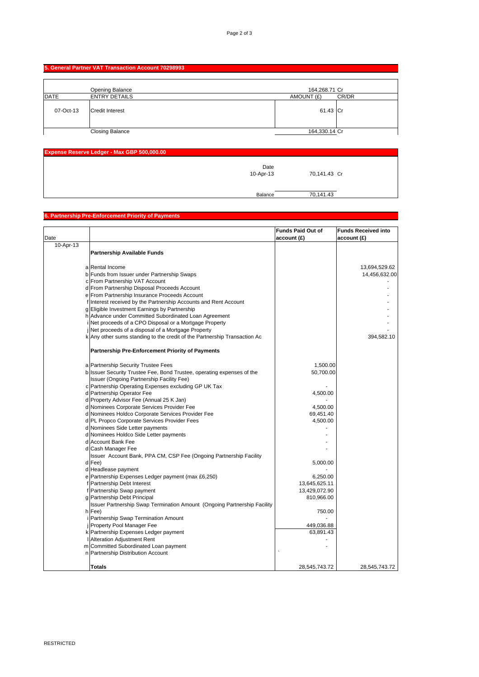# **5. General Partner VAT Transaction Account 70298993**

|             | Opening Balance        | 164,268.71 Cr       |
|-------------|------------------------|---------------------|
| <b>DATE</b> | <b>ENTRY DETAILS</b>   | CR/DR<br>AMOUNT (£) |
| 07-Oct-13   | <b>Credit Interest</b> | 61.43 Cr            |
|             | <b>Closing Balance</b> | 164,330.14 Cr       |

| Expense Reserve Ledger - Max GBP 500,000.00 |              |  |
|---------------------------------------------|--------------|--|
| Date<br>10-Apr-13                           | 70,141.43 Cr |  |
| Balance                                     | 70,141.43    |  |

#### **6. Partnership Pre-Enforcement Priority of Payments**

|           |                                                                           | <b>Funds Paid Out of</b> | <b>Funds Received into</b> |
|-----------|---------------------------------------------------------------------------|--------------------------|----------------------------|
| Date      |                                                                           | account(f)               | account (£)                |
| 10-Apr-13 |                                                                           |                          |                            |
|           |                                                                           |                          |                            |
|           | <b>Partnership Available Funds</b>                                        |                          |                            |
|           |                                                                           |                          |                            |
|           | a Rental Income                                                           |                          | 13,694,529.62              |
|           | b Funds from Issuer under Partnership Swaps                               |                          | 14,456,632.00              |
|           | c From Partnership VAT Account                                            |                          |                            |
|           | d From Partnership Disposal Proceeds Account                              |                          |                            |
|           | e From Partnership Insurance Proceeds Account                             |                          |                            |
|           | f Interest received by the Partnership Accounts and Rent Account          |                          |                            |
|           | g Eligible Investment Earnings by Partnership                             |                          |                            |
|           | h Advance under Committed Subordinated Loan Agreement                     |                          |                            |
|           | Net proceeds of a CPO Disposal or a Mortgage Property                     |                          |                            |
|           | Net proceeds of a disposal of a Mortgage Property                         |                          |                            |
|           | k Any other sums standing to the credit of the Partnership Transaction Ac |                          | 394,582.10                 |
|           |                                                                           |                          |                            |
|           | <b>Partnership Pre-Enforcement Priority of Payments</b>                   |                          |                            |
|           |                                                                           |                          |                            |
|           | a Partnership Security Trustee Fees                                       | 1,500.00                 |                            |
|           | b Issuer Security Trustee Fee, Bond Trustee, operating expenses of the    | 50,700.00                |                            |
|           | Issuer (Ongoing Partnership Facility Fee)                                 |                          |                            |
|           | c Partnership Operating Expenses excluding GP UK Tax                      |                          |                            |
|           | d Partnership Operator Fee                                                | 4,500.00                 |                            |
|           | d Property Advisor Fee (Annual 25 K Jan)                                  |                          |                            |
|           | d Nominees Corporate Services Provider Fee                                | 4,500.00                 |                            |
|           | d Nominees Holdco Corporate Services Provider Fee                         | 69,451.40                |                            |
|           | d PL Propco Corporate Services Provider Fees                              | 4,500.00                 |                            |
|           | d Nominees Side Letter payments                                           |                          |                            |
|           | d Nominees Holdco Side Letter payments                                    |                          |                            |
|           | d Account Bank Fee                                                        |                          |                            |
|           | d Cash Manager Fee                                                        |                          |                            |
|           | Issuer Account Bank, PPA CM, CSP Fee (Ongoing Partnership Facility        |                          |                            |
|           | d Fee)                                                                    | 5,000.00                 |                            |
|           | d Headlease payment                                                       |                          |                            |
|           | e Partnership Expenses Ledger payment (max £6,250)                        | 6,250.00                 |                            |
|           | f Partnership Debt Interest                                               | 13,645,625.11            |                            |
|           | f Partnership Swap payment                                                | 13,429,072.90            |                            |
|           | g Partnership Debt Principal                                              | 810,966.00               |                            |
|           | Issuer Partnership Swap Termination Amount (Ongoing Partnership Facility  |                          |                            |
|           | h Fee)                                                                    | 750.00                   |                            |
|           | Partnership Swap Termination Amount                                       |                          |                            |
|           | <b>Property Pool Manager Fee</b>                                          | 449,036.88               |                            |
|           | k Partnership Expenses Ledger payment                                     | 63,891.43                |                            |
|           | Alteration Adjustment Rent                                                |                          |                            |
|           | m Committed Subordinated Loan payment                                     |                          |                            |
|           | n Partnership Distribution Account                                        |                          |                            |
|           |                                                                           |                          |                            |
|           | <b>Totals</b>                                                             | 28,545,743.72            | 28,545,743.72              |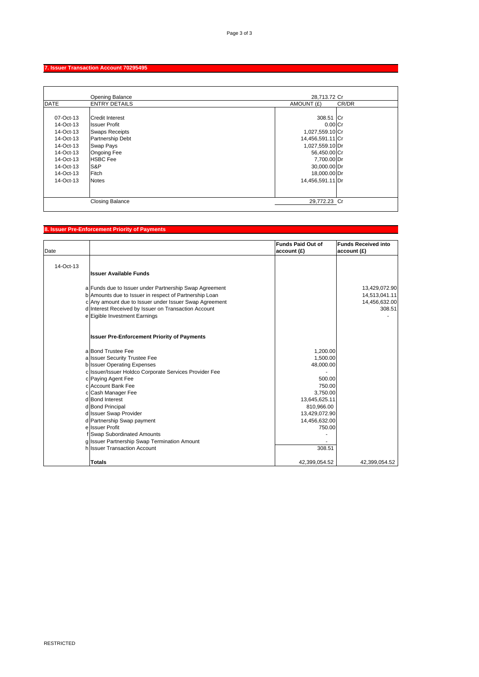# **7. Issuer Transaction Account 70295495**

|             | <b>Opening Balance</b>  | 28,713.72 Cr     |       |
|-------------|-------------------------|------------------|-------|
| <b>DATE</b> | <b>ENTRY DETAILS</b>    | AMOUNT (£)       | CR/DR |
|             |                         |                  |       |
| 07-Oct-13   | <b>Credit Interest</b>  | 308.51 Cr        |       |
| 14-Oct-13   | <b>Issuer Profit</b>    | $0.00$ Cr        |       |
| 14-Oct-13   | <b>Swaps Receipts</b>   | 1,027,559.10 Cr  |       |
| 14-Oct-13   | <b>Partnership Debt</b> | 14,456,591.11 Cr |       |
| 14-Oct-13   | Swap Pays               | 1,027,559.10 Dr  |       |
| 14-Oct-13   | <b>Ongoing Fee</b>      | 56,450.00 Cr     |       |
| 14-Oct-13   | <b>HSBC</b> Fee         | 7,700.00 Dr      |       |
| 14-Oct-13   | S&P                     | 30,000.00 Dr     |       |
| 14-Oct-13   | Fitch                   | 18,000.00 Dr     |       |
| 14-Oct-13   | <b>Notes</b>            | 14,456,591.11 Dr |       |
|             |                         |                  |       |
|             |                         |                  |       |
|             | <b>Closing Balance</b>  | 29.772.23 Cr     |       |

# **8. Issuer Pre-Enforcement Priority of Payments**

|           |                                                                             | <b>Funds Paid Out of</b> | <b>Funds Received into</b> |
|-----------|-----------------------------------------------------------------------------|--------------------------|----------------------------|
| Date      |                                                                             | account(E)               | account (£)                |
|           |                                                                             |                          |                            |
| 14-Oct-13 |                                                                             |                          |                            |
|           | <b>Issuer Available Funds</b>                                               |                          |                            |
|           | a Funds due to Issuer under Partnership Swap Agreement                      |                          | 13,429,072.90              |
|           | b Amounts due to Issuer in respect of Partnership Loan                      |                          | 14,513,041.11              |
|           | c Any amount due to Issuer under Issuer Swap Agreement                      |                          | 14,456,632.00              |
|           | d Interest Received by Issuer on Transaction Account                        |                          | 308.51                     |
|           | e Eigible Investment Earnings                                               |                          |                            |
|           | <b>Issuer Pre-Enforcement Priority of Payments</b>                          |                          |                            |
|           | a Bond Trustee Fee                                                          | 1,200.00                 |                            |
|           | a Issuer Security Trustee Fee                                               | 1,500.00                 |                            |
|           | <b>b</b> Issuer Operating Expenses                                          | 48,000.00                |                            |
|           | c Issuer/Issuer Holdco Corporate Services Provider Fee                      |                          |                            |
|           | c Paying Agent Fee                                                          | 500.00                   |                            |
|           | c Account Bank Fee                                                          | 750.00                   |                            |
|           | c Cash Manager Fee                                                          | 3,750.00                 |                            |
|           | d Bond Interest                                                             | 13,645,625.11            |                            |
|           | d Bond Principal                                                            | 810,966.00               |                            |
|           | d Issuer Swap Provider                                                      | 13,429,072.90            |                            |
|           | d Partnership Swap payment<br>ellssuer Profit                               | 14,456,632.00            |                            |
|           |                                                                             | 750.00                   |                            |
|           | f Swap Subordinated Amounts<br>g Issuer Partnership Swap Termination Amount |                          |                            |
|           | h Issuer Transaction Account                                                | 308.51                   |                            |
|           |                                                                             |                          |                            |
|           | <b>Totals</b>                                                               | 42,399,054.52            | 42.399.054.52              |